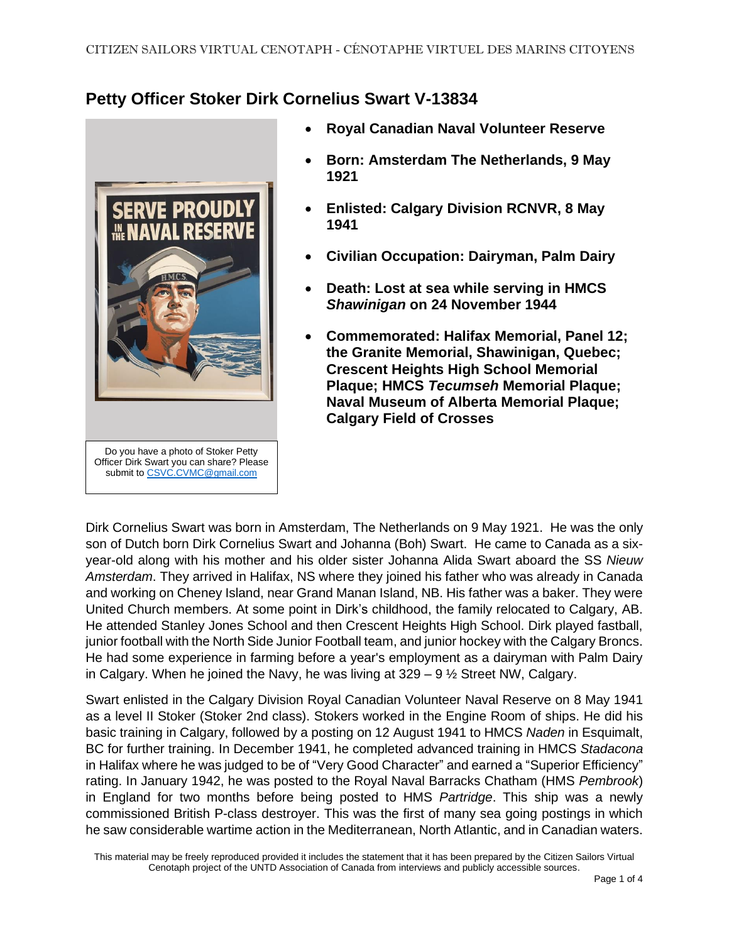## **Petty Officer Stoker Dirk Cornelius Swart V-13834**



- **Royal Canadian Naval Volunteer Reserve**
- **Born: Amsterdam The Netherlands, 9 May 1921**
- **Enlisted: Calgary Division RCNVR, 8 May 1941**
- **Civilian Occupation: Dairyman, Palm Dairy**
- **Death: Lost at sea while serving in HMCS**  *Shawinigan* **on 24 November 1944**
- **Commemorated: Halifax Memorial, Panel 12; the Granite Memorial, Shawinigan, Quebec; Crescent Heights High School Memorial Plaque; HMCS** *Tecumseh* **Memorial Plaque; Naval Museum of Alberta Memorial Plaque; Calgary Field of Crosses**

Dirk Cornelius Swart was born in Amsterdam, The Netherlands on 9 May 1921. He was the only son of Dutch born Dirk Cornelius Swart and Johanna (Boh) Swart. He came to Canada as a sixyear-old along with his mother and his older sister Johanna Alida Swart aboard the SS *Nieuw Amsterdam*. They arrived in Halifax, NS where they joined his father who was already in Canada and working on Cheney Island, near Grand Manan Island, NB. His father was a baker. They were United Church members. At some point in Dirk's childhood, the family relocated to Calgary, AB. He attended Stanley Jones School and then Crescent Heights High School. Dirk played fastball, junior football with the North Side Junior Football team, and junior hockey with the Calgary Broncs. He had some experience in farming before a year's employment as a dairyman with Palm Dairy in Calgary. When he joined the Navy, he was living at  $329 - 9 \frac{1}{2}$  Street NW, Calgary.

Swart enlisted in the Calgary Division Royal Canadian Volunteer Naval Reserve on 8 May 1941 as a level II Stoker (Stoker 2nd class). Stokers worked in the Engine Room of ships. He did his basic training in Calgary, followed by a posting on 12 August 1941 to HMCS *Naden* in Esquimalt, BC for further training. In December 1941, he completed advanced training in HMCS *Stadacona* in Halifax where he was judged to be of "Very Good Character" and earned a "Superior Efficiency" rating. In January 1942, he was posted to the Royal Naval Barracks Chatham (HMS *Pembrook*) in England for two months before being posted to HMS *Partridge*. This ship was a newly commissioned British P-class destroyer. This was the first of many sea going postings in which he saw considerable wartime action in the Mediterranean, North Atlantic, and in Canadian waters.

This material may be freely reproduced provided it includes the statement that it has been prepared by the Citizen Sailors Virtual Cenotaph project of the UNTD Association of Canada from interviews and publicly accessible sources.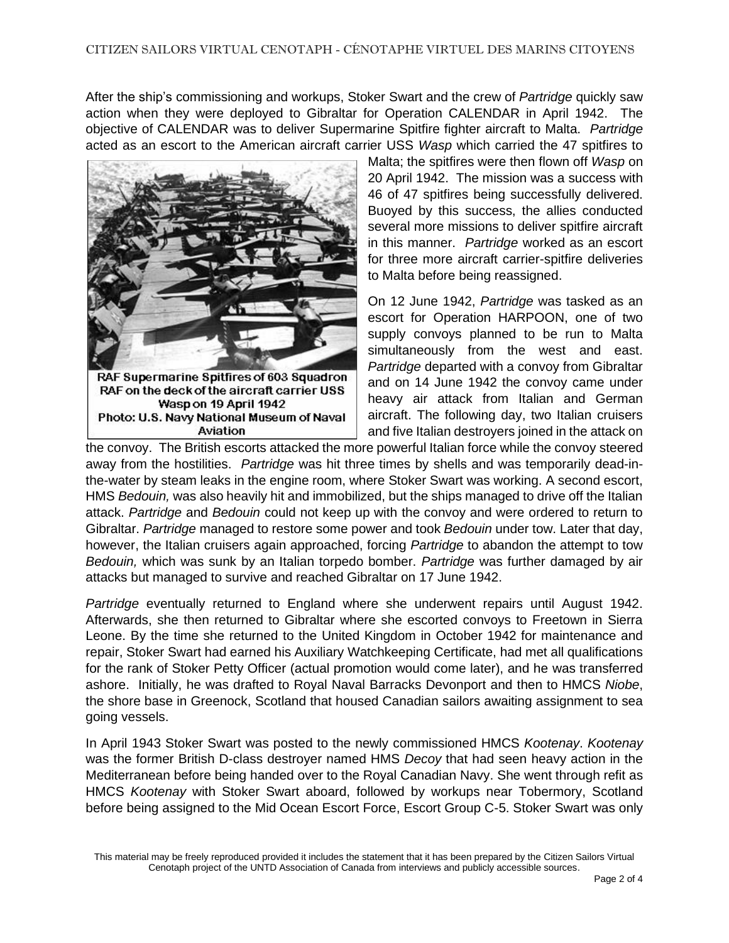After the ship's commissioning and workups, Stoker Swart and the crew of *Partridge* quickly saw action when they were deployed to Gibraltar for Operation CALENDAR in April 1942. The objective of CALENDAR was to deliver Supermarine Spitfire fighter aircraft to Malta. *Partridge* acted as an escort to the American aircraft carrier USS *Wasp* which carried the 47 spitfires to



Wasp on 19 April 1942 Photo: U.S. Navy National Museum of Naval Aviation

Malta; the spitfires were then flown off *Wasp* on 20 April 1942. The mission was a success with 46 of 47 spitfires being successfully delivered. Buoyed by this success, the allies conducted several more missions to deliver spitfire aircraft in this manner. *Partridge* worked as an escort for three more aircraft carrier-spitfire deliveries to Malta before being reassigned.

On 12 June 1942, *Partridge* was tasked as an escort for Operation HARPOON, one of two supply convoys planned to be run to Malta simultaneously from the west and east. *Partridge* departed with a convoy from Gibraltar and on 14 June 1942 the convoy came under heavy air attack from Italian and German aircraft. The following day, two Italian cruisers and five Italian destroyers joined in the attack on

the convoy. The British escorts attacked the more powerful Italian force while the convoy steered away from the hostilities. *Partridge* was hit three times by shells and was temporarily dead-inthe-water by steam leaks in the engine room, where Stoker Swart was working. A second escort, HMS *Bedouin,* was also heavily hit and immobilized, but the ships managed to drive off the Italian attack. *Partridge* and *Bedouin* could not keep up with the convoy and were ordered to return to Gibraltar. *Partridge* managed to restore some power and took *Bedouin* under tow. Later that day, however, the Italian cruisers again approached, forcing *Partridge* to abandon the attempt to tow *Bedouin,* which was sunk by an Italian torpedo bomber. *Partridge* was further damaged by air attacks but managed to survive and reached Gibraltar on 17 June 1942.

*Partridge* eventually returned to England where she underwent repairs until August 1942. Afterwards, she then returned to Gibraltar where she escorted convoys to Freetown in Sierra Leone. By the time she returned to the United Kingdom in October 1942 for maintenance and repair, Stoker Swart had earned his Auxiliary Watchkeeping Certificate, had met all qualifications for the rank of Stoker Petty Officer (actual promotion would come later), and he was transferred ashore. Initially, he was drafted to Royal Naval Barracks Devonport and then to HMCS *Niobe*, the shore base in Greenock, Scotland that housed Canadian sailors awaiting assignment to sea going vessels.

In April 1943 Stoker Swart was posted to the newly commissioned HMCS *Kootenay*. *Kootenay* was the former British D-class destroyer named HMS *Decoy* that had seen heavy action in the Mediterranean before being handed over to the Royal Canadian Navy. She went through refit as HMCS *Kootenay* with Stoker Swart aboard, followed by workups near Tobermory, Scotland before being assigned to the Mid Ocean Escort Force, Escort Group C-5. Stoker Swart was only

This material may be freely reproduced provided it includes the statement that it has been prepared by the Citizen Sailors Virtual Cenotaph project of the UNTD Association of Canada from interviews and publicly accessible sources.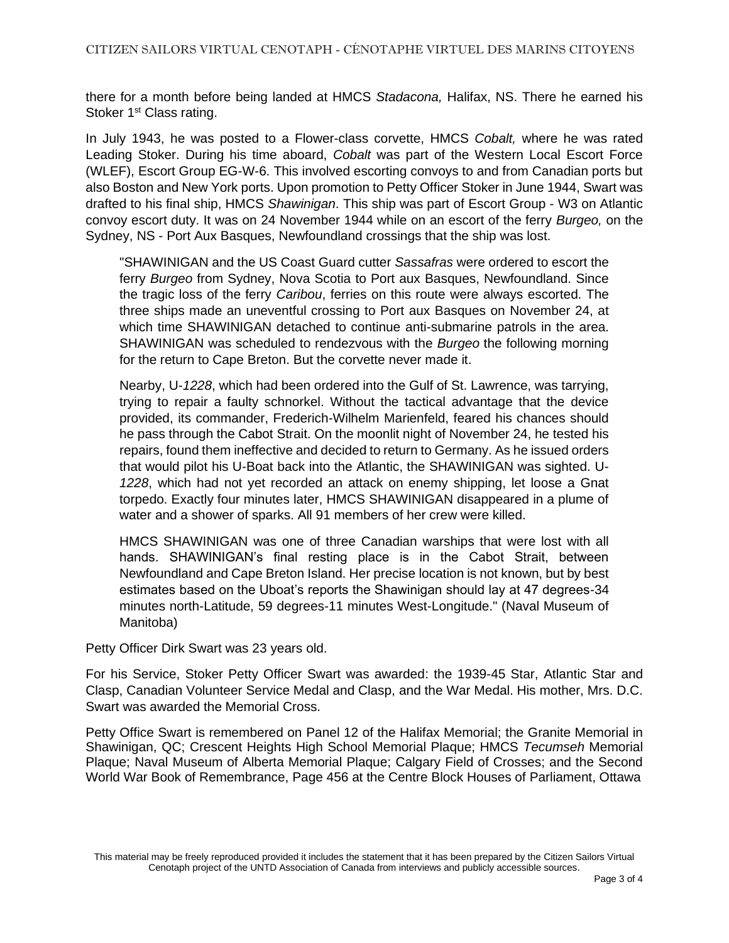there for a month before being landed at HMCS *Stadacona,* Halifax, NS. There he earned his Stoker 1<sup>st</sup> Class rating.

In July 1943, he was posted to a Flower-class corvette, HMCS *Cobalt,* where he was rated Leading Stoker. During his time aboard, *Cobalt* was part of the Western Local Escort Force (WLEF), Escort Group EG-W-6. This involved escorting convoys to and from Canadian ports but also Boston and New York ports. Upon promotion to Petty Officer Stoker in June 1944, Swart was drafted to his final ship, HMCS *Shawinigan*. This ship was part of Escort Group - W3 on Atlantic convoy escort duty. It was on 24 November 1944 while on an escort of the ferry *Burgeo,* on the Sydney, NS - Port Aux Basques, Newfoundland crossings that the ship was lost.

"SHAWINIGAN and the US Coast Guard cutter *Sassafras* were ordered to escort the ferry *Burgeo* from Sydney, Nova Scotia to Port aux Basques, Newfoundland. Since the tragic loss of the ferry *Caribou*, ferries on this route were always escorted. The three ships made an uneventful crossing to Port aux Basques on November 24, at which time SHAWINIGAN detached to continue anti-submarine patrols in the area. SHAWINIGAN was scheduled to rendezvous with the *Burgeo* the following morning for the return to Cape Breton. But the corvette never made it.

Nearby, U-*1228*, which had been ordered into the Gulf of St. Lawrence, was tarrying, trying to repair a faulty schnorkel. Without the tactical advantage that the device provided, its commander, Frederich-Wilhelm Marienfeld, feared his chances should he pass through the Cabot Strait. On the moonlit night of November 24, he tested his repairs, found them ineffective and decided to return to Germany. As he issued orders that would pilot his U-Boat back into the Atlantic, the SHAWINIGAN was sighted. U-*1228*, which had not yet recorded an attack on enemy shipping, let loose a Gnat torpedo. Exactly four minutes later, HMCS SHAWINIGAN disappeared in a plume of water and a shower of sparks. All 91 members of her crew were killed.

HMCS SHAWINIGAN was one of three Canadian warships that were lost with all hands. SHAWINIGAN's final resting place is in the Cabot Strait, between Newfoundland and Cape Breton Island. Her precise location is not known, but by best estimates based on the Uboat's reports the Shawinigan should lay at 47 degrees-34 minutes north-Latitude, 59 degrees-11 minutes West-Longitude." (Naval Museum of Manitoba)

Petty Officer Dirk Swart was 23 years old.

For his Service, Stoker Petty Officer Swart was awarded: the 1939-45 Star, Atlantic Star and Clasp, Canadian Volunteer Service Medal and Clasp, and the War Medal. His mother, Mrs. D.C. Swart was awarded the Memorial Cross.

Petty Office Swart is remembered on Panel 12 of the Halifax Memorial; the Granite Memorial in Shawinigan, QC; Crescent Heights High School Memorial Plaque; HMCS *Tecumseh* Memorial Plaque; Naval Museum of Alberta Memorial Plaque; Calgary Field of Crosses; and the Second World War Book of Remembrance, Page 456 at the Centre Block Houses of Parliament, Ottawa

This material may be freely reproduced provided it includes the statement that it has been prepared by the Citizen Sailors Virtual Cenotaph project of the UNTD Association of Canada from interviews and publicly accessible sources.